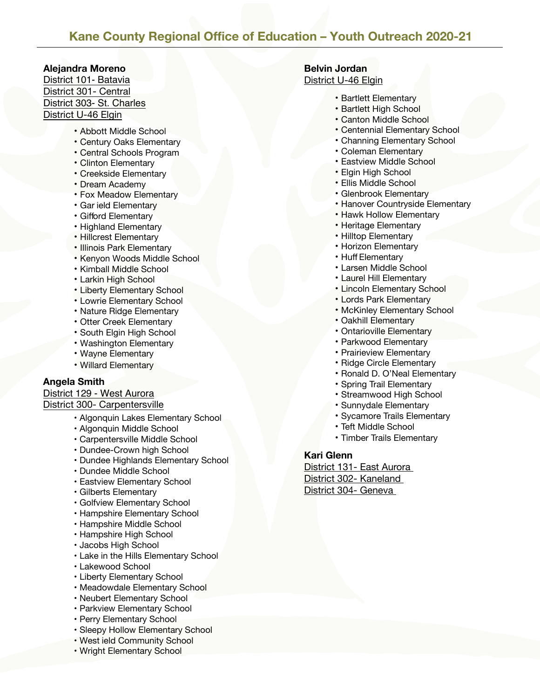# **Kane County Regional Office of Education – Youth Outreach 2020-21**

#### **Alejandra Moreno**

District 101- Batavia District 301- Central District 303- St. Charles District U-46 Elgin

- Abbott Middle School
- Century Oaks Elementary
- Central Schools Program
- Clinton Elementary
- Creekside Elementary
- Dream Academy
- Fox Meadow Elementary
- Gar ield Elementary
- Gifford Elementary
- Highland Elementary
- Hillcrest Elementary
- Illinois Park Elementary
- Kenyon Woods Middle School
- Kimball Middle School
- Larkin High School
- Liberty Elementary School
- Lowrie Elementary School
- Nature Ridge Elementary
- Otter Creek Elementary
- South Elgin High School
- Washington Elementary
- Wayne Elementary
- Willard Elementary

### **Angela Smith**

## District 129 - West Aurora

### District 300- Carpentersville

- Algonquin Lakes Elementary School
- Algonquin Middle School
- Carpentersville Middle School
- Dundee-Crown high School
- Dundee Highlands Elementary School
- Dundee Middle School
- Eastview Elementary School
- Gilberts Elementary
- Golfview Elementary School
- Hampshire Elementary School
- Hampshire Middle School
- Hampshire High School
- Jacobs High School
- Lake in the Hills Elementary School
- Lakewood School
- Liberty Elementary School
- Meadowdale Elementary School
- Neubert Elementary School
- Parkview Elementary School
- Perry Elementary School
- Sleepy Hollow Elementary School
- West ield Community School
- Wright Elementary School

# **Belvin Jordan**

## District U-46 Elgin

- Bartlett Elementary
- Bartlett High School
- Canton Middle School
- Centennial Elementary School
- Channing Elementary School
- Coleman Elementary
- Eastview Middle School
- Elgin High School
- Ellis Middle School
- Glenbrook Elementary
- Hanover Countryside Elementary
- Hawk Hollow Elementary
- Heritage Elementary
- Hilltop Elementary
- Horizon Elementary
- Huff Elementary
- Larsen Middle School
- Laurel Hill Elementary
- Lincoln Elementary School
- Lords Park Elementary
- McKinley Elementary School
- Oakhill Elementary
- Ontarioville Elementary
- Parkwood Elementary
- Prairieview Elementary
- Ridge Circle Elementary
- Ronald D. O'Neal Elementary
- Spring Trail Elementary
- Streamwood High School
- Sunnydale Elementary
- Sycamore Trails Elementary
- Teft Middle School
- Timber Trails Elementary

#### **Kari Glenn**

District 131- East Aurora District 302- Kaneland District 304- Geneva